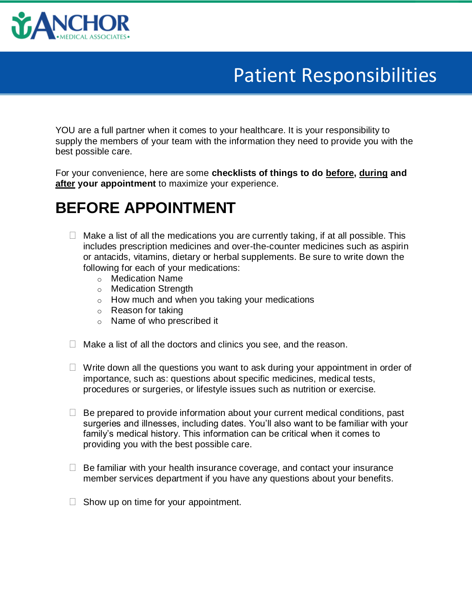

### Patient Responsibilities

YOU are a full partner when it comes to your healthcare. It is your responsibility to supply the members of your team with the information they need to provide you with the best possible care.

For your convenience, here are some **checklists of things to do before, during and after your appointment** to maximize your experience.

#### **BEFORE APPOINTMENT**

- $\Box$  Make a list of all the medications you are currently taking, if at all possible. This includes prescription medicines and over-the-counter medicines such as aspirin or antacids, vitamins, dietary or herbal supplements. Be sure to write down the following for each of your medications:
	- o Medication Name
	- o Medication Strength
	- $\circ$  How much and when you taking your medications
	- o Reason for taking
	- o Name of who prescribed it
- $\Box$  Make a list of all the doctors and clinics you see, and the reason.
- $\Box$  Write down all the questions you want to ask during your appointment in order of importance, such as: questions about specific medicines, medical tests, procedures or surgeries, or lifestyle issues such as nutrition or exercise.
- $\Box$  Be prepared to provide information about your current medical conditions, past surgeries and illnesses, including dates. You'll also want to be familiar with your family's medical history. This information can be critical when it comes to providing you with the best possible care.
- $\Box$  Be familiar with your health insurance coverage, and contact your insurance member services department if you have any questions about your benefits.
- $\Box$  Show up on time for your appointment.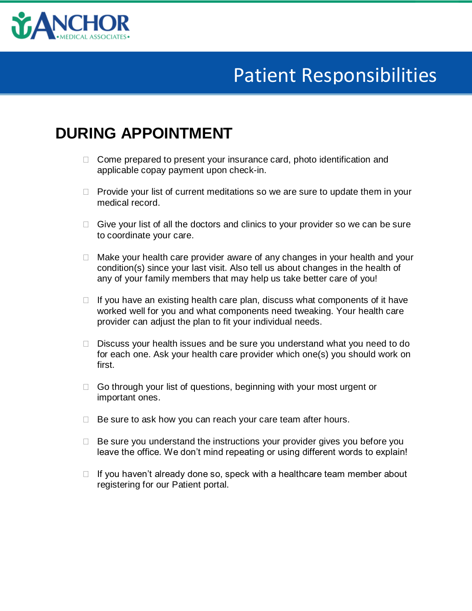

# Patient Responsibilities

#### **DURING APPOINTMENT**

- $\Box$  Come prepared to present your insurance card, photo identification and applicable copay payment upon check-in.
- $\Box$  Provide your list of current meditations so we are sure to update them in your medical record.
- $\Box$  Give your list of all the doctors and clinics to your provider so we can be sure to coordinate your care.
- $\Box$  Make your health care provider aware of any changes in your health and your condition(s) since your last visit. Also tell us about changes in the health of any of your family members that may help us take better care of you!
- $\Box$  If you have an existing health care plan, discuss what components of it have worked well for you and what components need tweaking. Your health care provider can adjust the plan to fit your individual needs.
- $\Box$  Discuss your health issues and be sure you understand what you need to do for each one. Ask your health care provider which one(s) you should work on first.
- □ Go through your list of questions, beginning with your most urgent or important ones.
- $\Box$  Be sure to ask how you can reach your care team after hours.
- $\Box$  Be sure you understand the instructions your provider gives you before you leave the office. We don't mind repeating or using different words to explain!
- $\Box$  If you haven't already done so, speck with a healthcare team member about registering for our Patient portal.